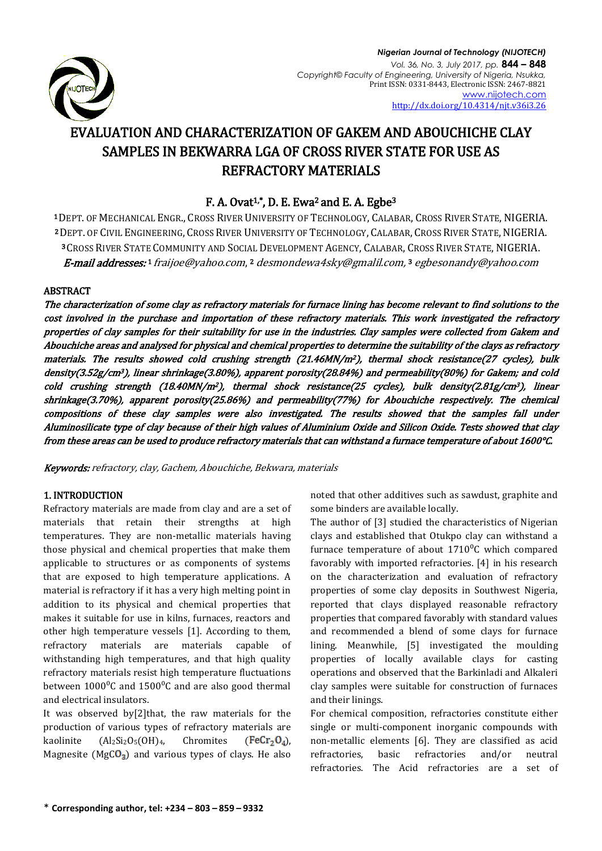

# EVALUATION AND CHARACTERIZATION OF GAKEM AND ABOUCHICHE CLAY SAMPLES IN BEKWARRA LGA OF CROSS RIVER STATE FOR USE AS REFRACTORY MATERIALS

# F. A. Ovat<sup>1,\*</sup>, D. E. Ewa<sup>2</sup> and E. A. Egbe<sup>3</sup>

 DEPT. OF MECHANICAL ENGR., CROSS RIVER UNIVERSITY OF TECHNOLOGY, CALABAR, CROSS RIVER STATE, NIGERIA. DEPT. OF CIVIL ENGINEERING, CROSS RIVER UNIVERSITY OF TECHNOLOGY, CALABAR, CROSS RIVER STATE, NIGERIA. CROSS RIVER STATE COMMUNITY AND SOCIAL DEVELOPMENT AGENCY, CALABAR, CROSS RIVER STATE, NIGERIA. **E-mail addresses:**1 [fraijoe@yahoo.com](mailto:fraijoe@yahoo.com),2 desmondewa4sky@gmalil.com,3 egbesonandy@yahoo.com

## ABSTRACT

The characterization of some clay as refractory materials for furnace lining has become relevant to find solutions to the cost involved in the purchase and importation of these refractory materials. This work investigated the refractory properties of clay samples for their suitability for use in the industries. Clay samples were collected from Gakem and Abouchiche areas and analysed for physical and chemical properties to determine the suitability of the clays as refractory materials. The results showed cold crushing strength (21.46MN/m2), thermal shock resistance(27 cycles), bulk density(3.52g/cm3), linear shrinkage(3.80%), apparent porosity(28.84%) and permeability(80%) for Gakem; and cold cold crushing strength (18.40MN/m<sup>2</sup>), thermal shock resistance(25 cycles), bulk density(2.81g/cm<sup>3</sup>), linear shrinkage(3.70%), apparent porosity(25.86%) and permeability(77%) for Abouchiche respectively. The chemical compositions of these clay samples were also investigated. The results showed that the samples fall under Aluminosilicate type of clay because of their high values of Aluminium Oxide and Silicon Oxide. Tests showed that clay from these areas can be used to produce refractory materials that can withstand a furnace temperature of about 1600°C.

Keywords: refractory, clay, Gachem, Abouchiche, Bekwara, materials

## 1. INTRODUCTION

Refractory materials are made from clay and are a set of materials that retain their strengths at high temperatures. They are non-metallic materials having those physical and chemical properties that make them applicable to structures or as components of systems that are exposed to high temperature applications. A material is refractory if it has a very high melting point in addition to its physical and chemical properties that makes it suitable for use in kilns, furnaces, reactors and other high temperature vessels [1]. According to them, refractory materials are materials capable of withstanding high temperatures, and that high quality refractory materials resist high temperature fluctuations between  $1000\degree$ C and  $1500\degree$ C and are also good thermal and electrical insulators.

It was observed by[2]that, the raw materials for the production of various types of refractory materials are kaolinite  $(Al_2Si_2O_5(OH)_4$ , Chromites (FeCr<sub>2</sub>O<sub>4</sub>), Magnesite ( $MgCO<sub>3</sub>$ ) and various types of clays. He also noted that other additives such as sawdust, graphite and some binders are available locally.

The author of [3] studied the characteristics of Nigerian clays and established that Otukpo clay can withstand a furnace temperature of about  $1710^0$ C which compared favorably with imported refractories. [4] in his research on the characterization and evaluation of refractory properties of some clay deposits in Southwest Nigeria, reported that clays displayed reasonable refractory properties that compared favorably with standard values and recommended a blend of some clays for furnace lining. Meanwhile, [5] investigated the moulding properties of locally available clays for casting operations and observed that the Barkinladi and Alkaleri clay samples were suitable for construction of furnaces and their linings.

For chemical composition, refractories constitute either single or multi-component inorganic compounds with non-metallic elements [6]. They are classified as acid refractories, basic refractories and/or neutral refractories. The Acid refractories are a set of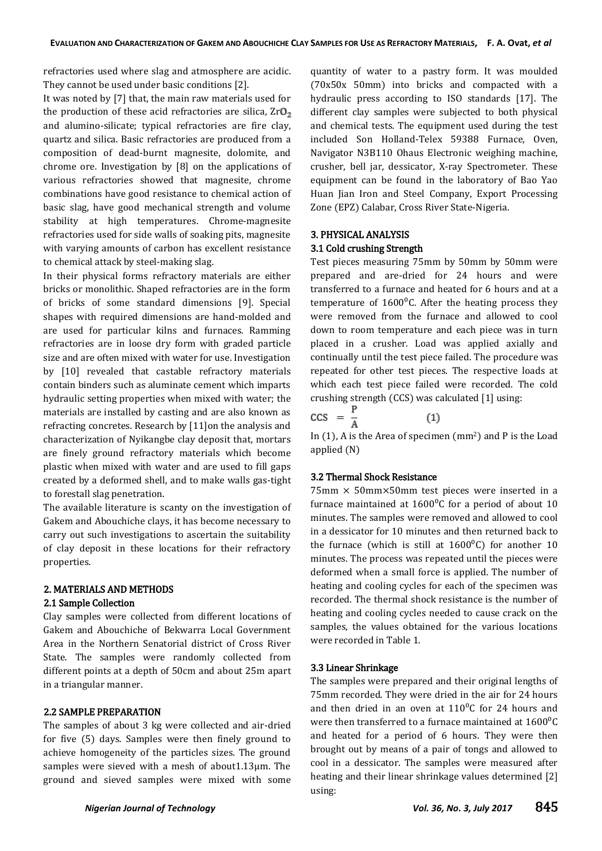refractories used where slag and atmosphere are acidic. They cannot be used under basic conditions [2].

It was noted by [7] that, the main raw materials used for the production of these acid refractories are silica,  $ZrO<sub>2</sub>$ and alumino-silicate; typical refractories are fire clay, quartz and silica. Basic refractories are produced from a composition of dead-burnt magnesite, dolomite, and chrome ore. Investigation by [8] on the applications of various refractories showed that magnesite, chrome combinations have good resistance to chemical action of basic slag, have good mechanical strength and volume stability at high temperatures. Chrome-magnesite refractories used for side walls of soaking pits, magnesite with varying amounts of carbon has excellent resistance to chemical attack by steel-making slag.

In their physical forms refractory materials are either bricks or monolithic. Shaped refractories are in the form of bricks of some standard dimensions [9]. Special shapes with required dimensions are hand-molded and are used for particular kilns and furnaces. Ramming refractories are in loose dry form with graded particle size and are often mixed with water for use. Investigation by [10] revealed that castable refractory materials contain binders such as aluminate cement which imparts hydraulic setting properties when mixed with water; the materials are installed by casting and are also known as refracting concretes. Research by [11]on the analysis and characterization of Nyikangbe clay deposit that, mortars are finely ground refractory materials which become plastic when mixed with water and are used to fill gaps created by a deformed shell, and to make walls gas-tight to forestall slag penetration.

The available literature is scanty on the investigation of Gakem and Abouchiche clays, it has become necessary to carry out such investigations to ascertain the suitability of clay deposit in these locations for their refractory properties.

## 2. MATERIALS AND METHODS 2.1 Sample Collection

Clay samples were collected from different locations of Gakem and Abouchiche of Bekwarra Local Government Area in the Northern Senatorial district of Cross River State. The samples were randomly collected from different points at a depth of 50cm and about 25m apart in a triangular manner.

## 2.2 SAMPLE PREPARATION

The samples of about 3 kg were collected and air-dried for five (5) days. Samples were then finely ground to achieve homogeneity of the particles sizes. The ground samples were sieved with a mesh of about1.13µm. The ground and sieved samples were mixed with some quantity of water to a pastry form. It was moulded (70x50x 50mm) into bricks and compacted with a hydraulic press according to ISO standards [17]. The different clay samples were subjected to both physical and chemical tests. The equipment used during the test included Son Holland-Telex 59388 Furnace, Oven, Navigator N3B110 Ohaus Electronic weighing machine, crusher, bell jar, dessicator, X-ray Spectrometer. These equipment can be found in the laboratory of Bao Yao Huan Jian Iron and Steel Company, Export Processing Zone (EPZ) Calabar, Cross River State-Nigeria.

## 3. PHYSICAL ANALYSIS 3.1 Cold crushing Strength

Test pieces measuring 75mm by 50mm by 50mm were prepared and are-dried for 24 hours and were transferred to a furnace and heated for 6 hours and at a temperature of  $1600^{\circ}$ C. After the heating process they were removed from the furnace and allowed to cool down to room temperature and each piece was in turn placed in a crusher. Load was applied axially and continually until the test piece failed. The procedure was repeated for other test pieces. The respective loads at which each test piece failed were recorded. The cold crushing strength (CCS) was calculated [1] using:

$$
CCS = \frac{r}{A} \tag{1}
$$

In (1), A is the Area of specimen (mm2) and P is the Load applied (N)

## 3.2 Thermal Shock Resistance

 $75$ mm  $\times$  50mm $\times$ 50mm test pieces were inserted in a furnace maintained at  $1600^{\circ}$ C for a period of about 10 minutes. The samples were removed and allowed to cool in a dessicator for 10 minutes and then returned back to the furnace (which is still at  $1600^{\circ}$ C) for another 10 minutes. The process was repeated until the pieces were deformed when a small force is applied. The number of heating and cooling cycles for each of the specimen was recorded. The thermal shock resistance is the number of heating and cooling cycles needed to cause crack on the samples, the values obtained for the various locations were recorded in Table 1.

#### 3.3 Linear Shrinkage

The samples were prepared and their original lengths of 75mm recorded. They were dried in the air for 24 hours and then dried in an oven at  $110^{\circ}$ C for 24 hours and were then transferred to a furnace maintained at  $1600^{\circ}$ C and heated for a period of 6 hours. They were then brought out by means of a pair of tongs and allowed to cool in a dessicator. The samples were measured after heating and their linear shrinkage values determined [2] using: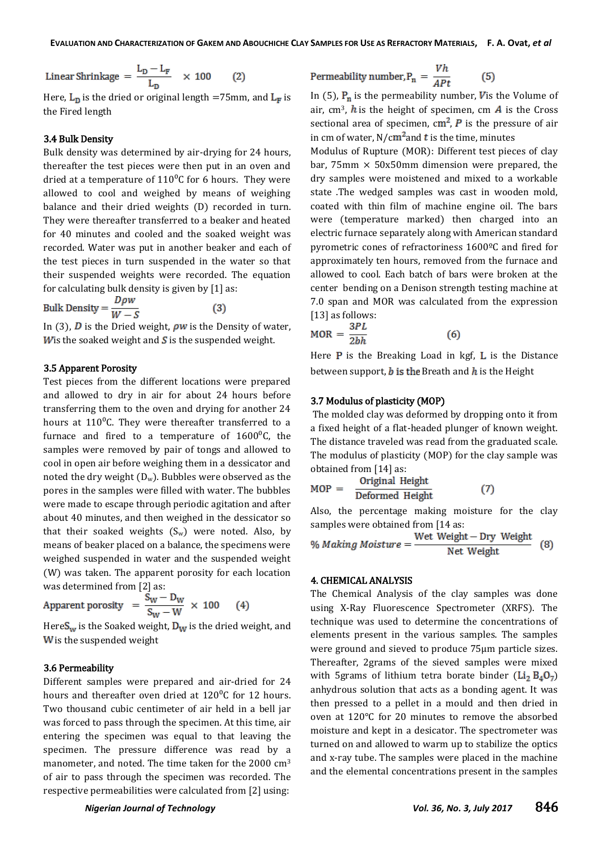Linear Shrinkage =  $\frac{L_D - L_F}{L_D}$  × 100  $(2)$ 

Here,  $L_D$  is the dried or original length =75mm, and  $L_F$  is the Fired length

#### 3.4 Bulk Density

Bulk density was determined by air-drying for 24 hours, thereafter the test pieces were then put in an oven and dried at a temperature of  $110^0C$  for 6 hours. They were allowed to cool and weighed by means of weighing balance and their dried weights (D) recorded in turn. They were thereafter transferred to a beaker and heated for 40 minutes and cooled and the soaked weight was recorded. Water was put in another beaker and each of the test pieces in turn suspended in the water so that their suspended weights were recorded. The equation for calculating bulk density is given by [1] as:

Bulk Density =  $\frac{D\rho w}{W-S}$ 

In (3),  $\overline{D}$  is the Dried weight,  $\rho w$  is the Density of water, W is the soaked weight and  $S$  is the suspended weight.

#### 3.5 Apparent Porosity

Test pieces from the different locations were prepared and allowed to dry in air for about 24 hours before transferring them to the oven and drying for another 24 hours at  $110^{\circ}$ C. They were thereafter transferred to a furnace and fired to a temperature of  $1600^{\circ}$ C, the samples were removed by pair of tongs and allowed to cool in open air before weighing them in a dessicator and noted the dry weight  $(D_w)$ . Bubbles were observed as the pores in the samples were filled with water. The bubbles were made to escape through periodic agitation and after about 40 minutes, and then weighed in the dessicator so that their soaked weights  $(S_w)$  were noted. Also, by means of beaker placed on a balance, the specimens were weighed suspended in water and the suspended weight (W) was taken. The apparent porosity for each location was determined from [2] as:

$$
Apparent \text{ porosity } = \frac{S_W - D_W}{S_W - W} \times 100 \qquad (4)
$$

Here  $S_w$  is the Soaked weight,  $D_w$  is the dried weight, and  $W$  is the suspended weight

#### 3.6 Permeability

Different samples were prepared and air-dried for 24 hours and thereafter oven dried at  $120^{\circ}$ C for 12 hours. Two thousand cubic centimeter of air held in a bell jar was forced to pass through the specimen. At this time, air entering the specimen was equal to that leaving the specimen. The pressure difference was read by a manometer, and noted. The time taken for the 2000 cm<sup>3</sup> of air to pass through the specimen was recorded. The respective permeabilities were calculated from [2] using:

Permeability number, 
$$
P_n = \frac{Vh}{APt}
$$
 (5)

In (5),  $P_n$  is the permeability number, V is the Volume of air, cm<sup>3</sup>, h is the height of specimen, cm  $\vec{A}$  is the Cross sectional area of specimen,  $\text{cm}^2$ , P is the pressure of air in cm of water,  $N/cm^2$  and t is the time, minutes

Modulus of Rupture (MOR): Different test pieces of clay bar, 75mm  $\times$  50x50mm dimension were prepared, the dry samples were moistened and mixed to a workable state .The wedged samples was cast in wooden mold, coated with thin film of machine engine oil. The bars were (temperature marked) then charged into an electric furnace separately along with American standard pyrometric cones of refractoriness 1600ºC and fired for approximately ten hours, removed from the furnace and allowed to cool. Each batch of bars were broken at the center bending on a Denison strength testing machine at 7.0 span and MOR was calculated from the expression [13] as follows:

$$
MOR = \frac{3PL}{2bh}
$$
 (6)

Here  $P$  is the Breaking Load in kgf,  $L$  is the Distance between support,  $b$  is the Breath and  $h$  is the Height

#### 3.7 Modulus of plasticity (MOP)

The molded clay was deformed by dropping onto it from a fixed height of a flat-headed plunger of known weight. The distance traveled was read from the graduated scale. The modulus of plasticity (MOP) for the clay sample was obtained from [14] as:

$$
MOP = \frac{Original Height}{Deformed Height} \tag{7}
$$

Also, the percentage making moisture for the clay samples were obtained from [14 as:

% Making Moisture = 
$$
\frac{\text{Wet Weight} - \text{Dry Weight}}{\text{Net Weight}}
$$
 (8)

#### 4. CHEMICAL ANALYSIS

The Chemical Analysis of the clay samples was done using X-Ray Fluorescence Spectrometer (XRFS). The technique was used to determine the concentrations of elements present in the various samples. The samples were ground and sieved to produce 75µm particle sizes. Thereafter, 2grams of the sieved samples were mixed with 5grams of lithium tetra borate binder  $(Li_2 B_4 O_7)$ anhydrous solution that acts as a bonding agent. It was then pressed to a pellet in a mould and then dried in oven at 120°C for 20 minutes to remove the absorbed moisture and kept in a desicator. The spectrometer was turned on and allowed to warm up to stabilize the optics and x-ray tube. The samples were placed in the machine and the elemental concentrations present in the samples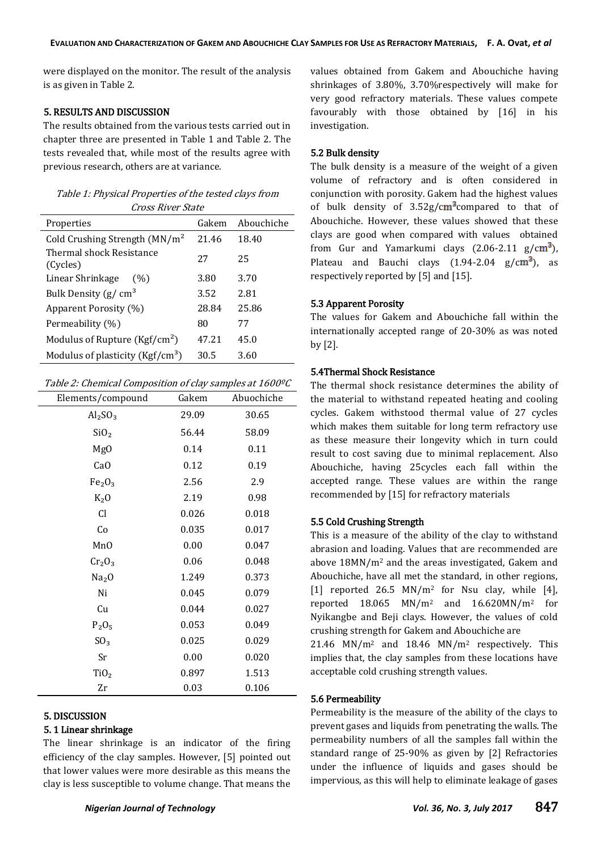were displayed on the monitor. The result of the analysis is as given in Table 2.

#### 5. RESULTS AND DISCUSSION

The results obtained from the various tests carried out in chapter three are presented in Table 1 and Table 2. The tests revealed that, while most of the results agree with previous research, others are at variance.

| Table 1: Physical Properties of the tested clays from |
|-------------------------------------------------------|
| <i>Cross River State</i>                              |

| Properties                                  | Gakem | Abouchiche |
|---------------------------------------------|-------|------------|
| Cold Crushing Strength $(MN/m^2)$           | 21.46 | 18.40      |
| <b>Thermal shock Resistance</b><br>(Cycles) | 27    | 25         |
| Linear Shrinkage<br>(%)                     | 3.80  | 3.70       |
| Bulk Density ( $g/cm3$                      | 3.52  | 2.81       |
| Apparent Porosity (%)                       | 28.84 | 25.86      |
| Permeability (%)                            | 80    | 77         |
| Modulus of Rupture (Kgf/cm <sup>2</sup> )   | 47.21 | 45.0       |
| Modulus of plasticity ( $Kgf/cm^3$ )        | 30.5  | 3.60       |

#### Table 2: Chemical Composition of clay samples at 1600ºC

| Elements/compound               | Gakem | Abuochiche |
|---------------------------------|-------|------------|
| Al <sub>2</sub> SO <sub>3</sub> | 29.09 | 30.65      |
| SiO <sub>2</sub>                | 56.44 | 58.09      |
| Mg <sub>0</sub>                 | 0.14  | 0.11       |
| Ca <sub>O</sub>                 | 0.12  | 0.19       |
| Fe <sub>2</sub> O <sub>3</sub>  | 2.56  | 2.9        |
| $K_2O$                          | 2.19  | 0.98       |
| <b>Cl</b>                       | 0.026 | 0.018      |
| Co                              | 0.035 | 0.017      |
| MnO                             | 0.00  | 0.047      |
| Cr <sub>2</sub> O <sub>3</sub>  | 0.06  | 0.048      |
| Na <sub>2</sub> O               | 1.249 | 0.373      |
| Ni                              | 0.045 | 0.079      |
| Cu                              | 0.044 | 0.027      |
| $P_2O_5$                        | 0.053 | 0.049      |
| SO <sub>3</sub>                 | 0.025 | 0.029      |
| Sr                              | 0.00  | 0.020      |
| TiO <sub>2</sub>                | 0.897 | 1.513      |
| Zr                              | 0.03  | 0.106      |

#### 5. DISCUSSION

#### 5. 1 Linear shrinkage

The linear shrinkage is an indicator of the firing efficiency of the clay samples. However, [5] pointed out that lower values were more desirable as this means the clay is less susceptible to volume change. That means the

values obtained from Gakem and Abouchiche having shrinkages of 3.80%, 3.70%respectively will make for very good refractory materials. These values compete favourably with those obtained by [16] in his investigation.

## 5.2 Bulk density

The bulk density is a measure of the weight of a given volume of refractory and is often considered in conjunction with porosity. Gakem had the highest values of bulk density of  $3.52g/cm<sup>3</sup>$ compared to that of Abouchiche. However, these values showed that these clays are good when compared with values obtained from Gur and Yamarkumi clays  $(2.06-2.11 \text{ g/cm}^3)$ , Plateau and Bauchi clays  $(1.94-2.04 \text{ g/cm}^3)$ , as respectively reported by [5] and [15].

#### 5.3 Apparent Porosity

The values for Gakem and Abouchiche fall within the internationally accepted range of 20-30% as was noted by [2].

#### 5.4Thermal Shock Resistance

The thermal shock resistance determines the ability of the material to withstand repeated heating and cooling cycles. Gakem withstood thermal value of 27 cycles which makes them suitable for long term refractory use as these measure their longevity which in turn could result to cost saving due to minimal replacement. Also Abouchiche, having 25cycles each fall within the accepted range. These values are within the range recommended by [15] for refractory materials

## 5.5 Cold Crushing Strength

This is a measure of the ability of the clay to withstand abrasion and loading. Values that are recommended are above 18MN/m<sup>2</sup> and the areas investigated, Gakem and Abouchiche, have all met the standard, in other regions, [1] reported 26.5 MN/m<sup>2</sup> for Nsu clay, while [4], reported 18.065 MN/m<sup>2</sup> and 16.620MN/m<sup>2</sup> for Nyikangbe and Beji clays. However, the values of cold crushing strength for Gakem and Abouchiche are

21.46 MN/m<sup>2</sup> and 18.46 MN/m<sup>2</sup> respectively. This implies that, the clay samples from these locations have acceptable cold crushing strength values.

#### 5.6 Permeability

Permeability is the measure of the ability of the clays to prevent gases and liquids from penetrating the walls. The permeability numbers of all the samples fall within the standard range of 25-90% as given by [2] Refractories under the influence of liquids and gases should be impervious, as this will help to eliminate leakage of gases